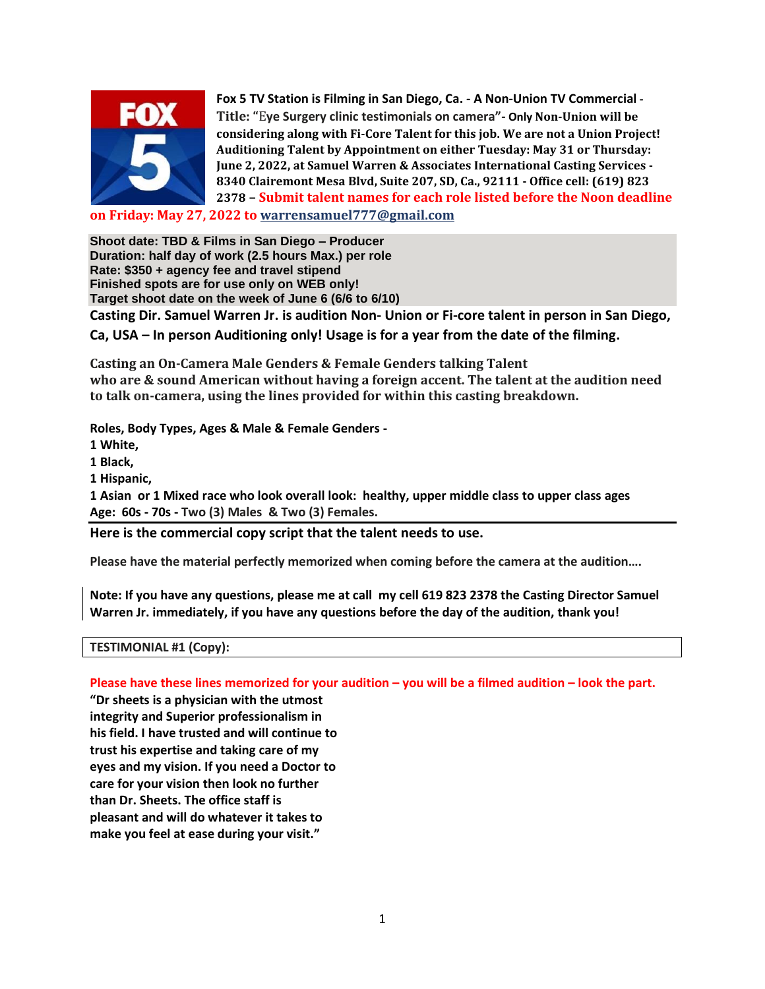

**Fox 5 TV Station is Filming in San Diego, Ca. - A Non-Union TV Commercial - Title: "**E**ye Surgery clinic testimonials on camera"- Only Non-Union will be considering along with Fi-Core Talent for this job. We are not a Union Project! Auditioning Talent by Appointment on either Tuesday: May 31 or Thursday: June 2, 2022, at Samuel Warren & Associates International Casting Services - 8340 Clairemont Mesa Blvd, Suite 207, SD, Ca., 92111 - Office cell: (619) 823 2378 – Submit talent names for each role listed before the Noon deadline**

**on Friday: May 27, 2022 to [warrensamuel777@gmail.com](mailto:warrensamuel777@gmail.com)**

**Shoot date: TBD & Films in San Diego – Producer Duration: half day of work (2.5 hours Max.) per role Rate: \$350 + agency fee and travel stipend Finished spots are for use only on WEB only! Target shoot date on the week of June 6 (6/6 to 6/10) Casting Dir. Samuel Warren Jr. is audition Non- Union or Fi-core talent in person in San Diego, Ca, USA – In person Auditioning only! Usage is for a year from the date of the filming.**

**Casting an On-Camera Male Genders & Female Genders talking Talent who are & sound American without having a foreign accent. The talent at the audition need to talk on-camera, using the lines provided for within this casting breakdown.**

**Roles, Body Types, Ages & Male & Female Genders -**

**1 White,**

**1 Black,**

**1 Hispanic,**

**1 Asian or 1 Mixed race who look overall look: healthy, upper middle class to upper class ages Age: 60s - 70s - Two (3) Males & Two (3) Females.**

**Here is the commercial copy script that the talent needs to use.** 

**Please have the material perfectly memorized when coming before the camera at the audition….**

**Note: If you have any questions, please me at call my cell 619 823 2378 the Casting Director Samuel Warren Jr. immediately, if you have any questions before the day of the audition, thank you!**

## **TESTIMONIAL #1 (Copy):**

**Please have these lines memorized for your audition – you will be a filmed audition – look the part.**

**"Dr sheets is a physician with the utmost integrity and Superior professionalism in his field. I have trusted and will continue to trust his expertise and taking care of my eyes and my vision. If you need a Doctor to care for your vision then look no further than Dr. Sheets. The office staff is pleasant and will do whatever it takes to make you feel at ease during your visit."**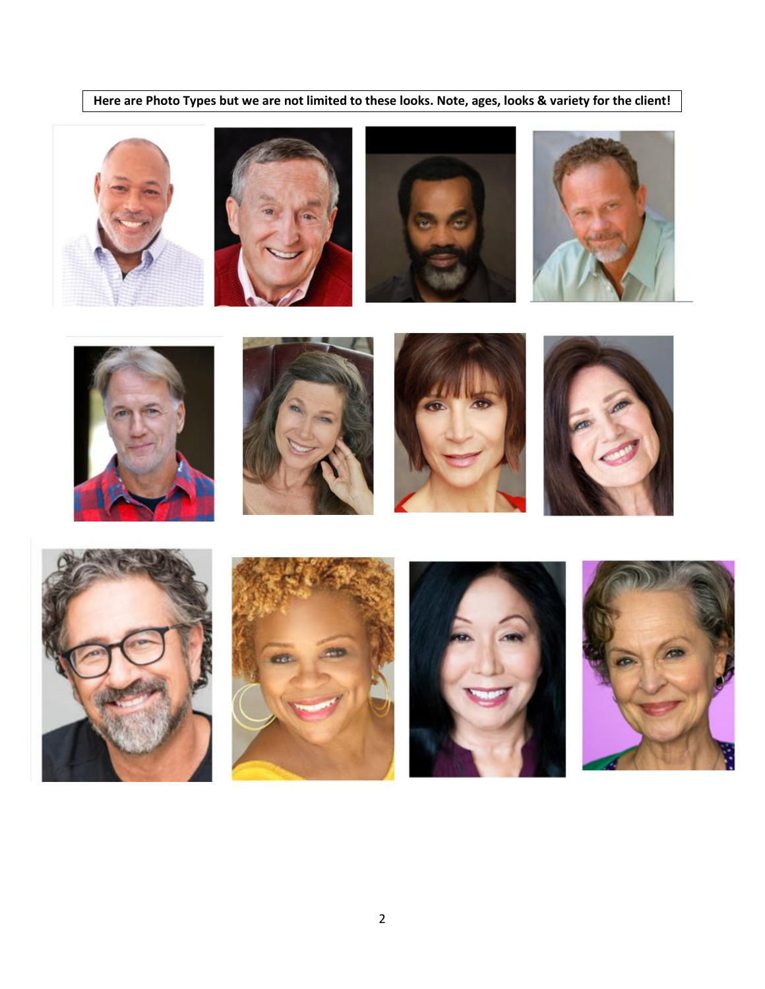**Here are Photo Types but we are not limited to these looks. Note, ages, looks & variety for the client!**